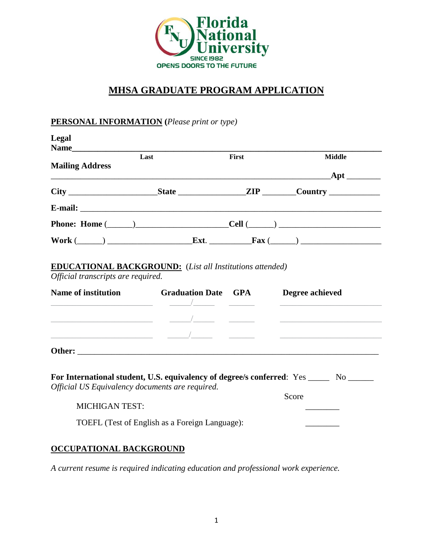

# **MHSA GRADUATE PROGRAM APPLICATION**

## **PERSONAL INFORMATION (***Please print or type)*

| Legal                                                                                                                      |      |              |                                              |
|----------------------------------------------------------------------------------------------------------------------------|------|--------------|----------------------------------------------|
|                                                                                                                            | Last | <b>First</b> | <b>Middle</b>                                |
| <b>Mailing Address</b>                                                                                                     |      |              |                                              |
|                                                                                                                            |      |              |                                              |
|                                                                                                                            |      |              |                                              |
|                                                                                                                            |      |              |                                              |
| Phone: Home $(\_\_)$                                                                                                       |      |              |                                              |
| Work $(\_\_\_)$ $\_\_\_\_\_\_\_\$ Ext. $\_\_\_\_\$ Fax $(\_\_\)_$                                                          |      |              |                                              |
|                                                                                                                            |      |              |                                              |
| Official transcripts are required.                                                                                         |      |              | the control of the control of the control of |
| <b>EDUCATIONAL BACKGROUND:</b> (List all Institutions attended)<br>Name of institution Graduation Date GPA Degree achieved |      |              |                                              |
|                                                                                                                            |      |              |                                              |
|                                                                                                                            |      |              |                                              |
|                                                                                                                            |      |              |                                              |
| Official US Equivalency documents are required.                                                                            |      |              | Score                                        |
| For International student, U.S. equivalency of degree/s conferred: Yes _____ No _____<br><b>MICHIGAN TEST:</b>             |      |              |                                              |

# **OCCUPATIONAL BACKGROUND**

*A current resume is required indicating education and professional work experience.*